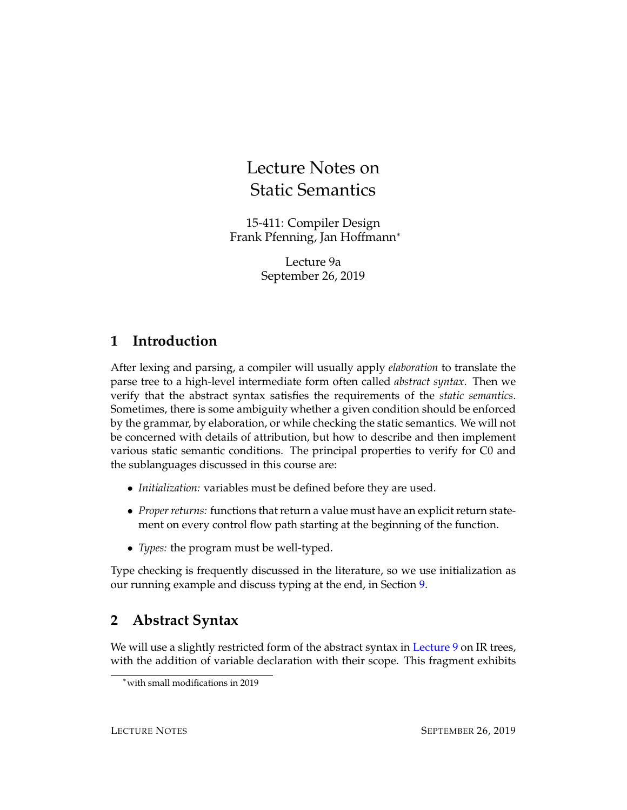# Lecture Notes on Static Semantics

15-411: Compiler Design Frank Pfenning, Jan Hoffmann<sup>∗</sup>

> Lecture 9a September 26, 2019

## **1 Introduction**

After lexing and parsing, a compiler will usually apply *elaboration* to translate the parse tree to a high-level intermediate form often called *abstract syntax*. Then we verify that the abstract syntax satisfies the requirements of the *static semantics*. Sometimes, there is some ambiguity whether a given condition should be enforced by the grammar, by elaboration, or while checking the static semantics. We will not be concerned with details of attribution, but how to describe and then implement various static semantic conditions. The principal properties to verify for C0 and the sublanguages discussed in this course are:

- *Initialization:* variables must be defined before they are used.
- *Proper returns:* functions that return a value must have an explicit return statement on every control flow path starting at the beginning of the function.
- *Types:* the program must be well-typed.

Type checking is frequently discussed in the literature, so we use initialization as our running example and discuss typing at the end, in Section [9.](#page-7-0)

## **2 Abstract Syntax**

We will use a slightly restricted form of the abstract syntax in [Lecture 9](http://www.cs.cmu.edu/~janh/courses/411/18/lec/09-irtrees.pdf) on IR trees, with the addition of variable declaration with their scope. This fragment exhibits

<sup>∗</sup>with small modifications in 2019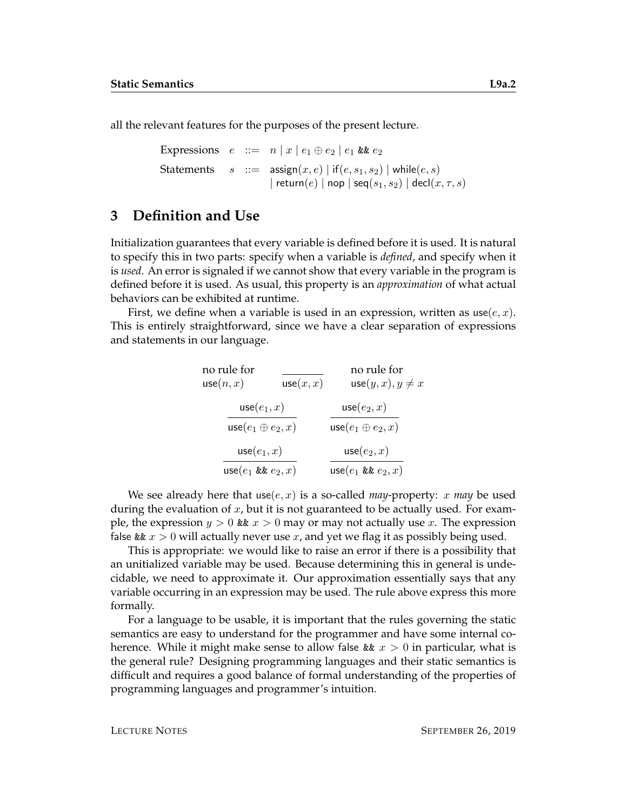all the relevant features for the purposes of the present lecture.

```
Expressions e ::= n | x | e_1 \oplus e_2 | e_1 & e_2Statements s ::= \text{assign}(x, e) | \text{ if } (e, s_1, s_2) | \text{ while } (e, s)| return(e) | nop | seq(s_1, s_2) | decl(x, \tau, s)
```
#### **3 Definition and Use**

Initialization guarantees that every variable is defined before it is used. It is natural to specify this in two parts: specify when a variable is *defined*, and specify when it is *used*. An error is signaled if we cannot show that every variable in the program is defined before it is used. As usual, this property is an *approximation* of what actual behaviors can be exhibited at runtime.

First, we define when a variable is used in an expression, written as  $use(e, x)$ . This is entirely straightforward, since we have a clear separation of expressions and statements in our language.

| no rule for               |           | no rule for               |
|---------------------------|-----------|---------------------------|
| use(n, x)                 | use(x, x) | $use(y, x), y \neq x$     |
| use $(e_1, x)$            |           | $use(e_2, x)$             |
| use $(e_1 \oplus e_2, x)$ |           | use $(e_1 \oplus e_2, x)$ |
| $use(e_1, x)$             |           | $use(e_2, x)$             |
| use $(e_1 \& e_2, x)$     |           | use $(e_1 \& e_2, x)$     |

We see already here that use $(e, x)$  is a so-called *may*-property: x *may* be used during the evaluation of  $x$ , but it is not guaranteed to be actually used. For example, the expression  $y > 0$  &  $x > 0$  may or may not actually use x. The expression false &&  $x > 0$  will actually never use x, and yet we flag it as possibly being used.

This is appropriate: we would like to raise an error if there is a possibility that an unitialized variable may be used. Because determining this in general is undecidable, we need to approximate it. Our approximation essentially says that any variable occurring in an expression may be used. The rule above express this more formally.

For a language to be usable, it is important that the rules governing the static semantics are easy to understand for the programmer and have some internal coherence. While it might make sense to allow false &  $x > 0$  in particular, what is the general rule? Designing programming languages and their static semantics is difficult and requires a good balance of formal understanding of the properties of programming languages and programmer's intuition.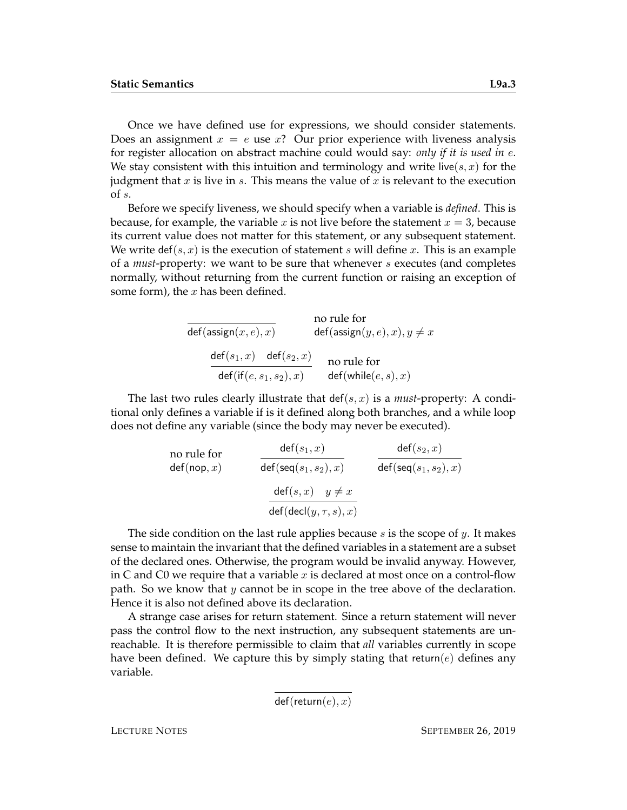Once we have defined use for expressions, we should consider statements. Does an assignment  $x = e$  use x? Our prior experience with liveness analysis for register allocation on abstract machine could would say: *only if it is used in* e. We stay consistent with this intuition and terminology and write live(s, x) for the judgment that  $x$  is live in  $s$ . This means the value of  $x$  is relevant to the execution of s.

Before we specify liveness, we should specify when a variable is *defined*. This is because, for example, the variable x is not live before the statement  $x = 3$ , because its current value does not matter for this statement, or any subsequent statement. We write def(s, x) is the execution of statement s will define x. This is an example of a *must*-property: we want to be sure that whenever s executes (and completes normally, without returning from the current function or raising an exception of some form), the  $x$  has been defined.

> $def(assign(x, e), x)$ no rule for  $def(assign(y, e), x), y \neq x$  $\mathsf{def}(s_1,x)$  def $(s_2,x)$  $\mathsf{def}(\mathsf{if}(e,s_1,s_2),x)$ no rule for  $\mathsf{def}(\mathsf{while}(e,s),x)$

The last two rules clearly illustrate that  $\text{def}(s, x)$  is a *must*-property: A conditional only defines a variable if is it defined along both branches, and a while loop does not define any variable (since the body may never be executed).

no rule for  
\n
$$
\det(\text{nop}, x) \qquad \frac{\det(s_1, x)}{\det(\text{seq}(s_1, s_2), x)} \qquad \frac{\det(s_2, x)}{\det(\text{seq}(s_1, s_2), x)}
$$
\n
$$
\frac{\det(s, x) \quad y \neq x}{\det(\text{decl}(y, \tau, s), x)}
$$

The side condition on the last rule applies because  $s$  is the scope of  $y$ . It makes sense to maintain the invariant that the defined variables in a statement are a subset of the declared ones. Otherwise, the program would be invalid anyway. However, in C and C0 we require that a variable  $x$  is declared at most once on a control-flow path. So we know that  $y$  cannot be in scope in the tree above of the declaration. Hence it is also not defined above its declaration.

A strange case arises for return statement. Since a return statement will never pass the control flow to the next instruction, any subsequent statements are unreachable. It is therefore permissible to claim that *all* variables currently in scope have been defined. We capture this by simply stating that return( $e$ ) defines any variable.

 $def(return(e), x)$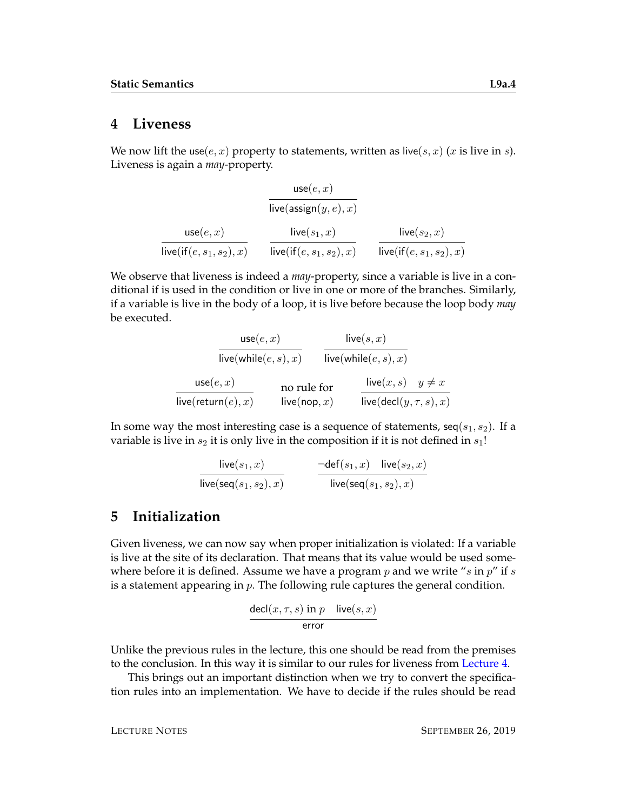#### **4 Liveness**

We now lift the use $(e, x)$  property to statements, written as live $(s, x)$   $(x$  is live in  $s$ ). Liveness is again a *may*-property.

$$
\frac{\mathsf{use}(e,x)}{\mathsf{live}(\mathsf{assign}(y,e),x)}
$$
\n
$$
\frac{\mathsf{use}(e,x)}{\mathsf{live}(\mathsf{if}(e,s_1,s_2),x)} \quad \frac{\mathsf{live}(s_1,x)}{\mathsf{live}(\mathsf{if}(e,s_1,s_2),x)} \quad \frac{\mathsf{live}(s_2,x)}{\mathsf{live}(\mathsf{if}(e,s_1,s_2),x)}
$$

We observe that liveness is indeed a *may*-property, since a variable is live in a conditional if is used in the condition or live in one or more of the branches. Similarly, if a variable is live in the body of a loop, it is live before because the loop body *may* be executed.

$$
\frac{\text{use}(e, x)}{\text{live}(\text{while}(e, s), x)} \quad \frac{\text{live}(s, x)}{\text{live}(\text{while}(e, s), x)}
$$
\n
$$
\frac{\text{use}(e, x)}{\text{live}(\text{return}(e), x)} \quad \text{no rule for} \quad \frac{\text{live}(x, s) \quad y \neq x}{\text{live}(\text{decl}(y, \tau, s), x)}
$$

In some way the most interesting case is a sequence of statements,  $seq(s_1, s_2)$ . If a variable is live in  $s_2$  it is only live in the composition if it is not defined in  $s_1!$ 

$$
\frac{\mathsf{live}(s_1,x)}{\mathsf{live}(\mathsf{seq}(s_1,s_2),x)} \qquad \qquad \frac{\neg \mathsf{def}(s_1,x) \quad \mathsf{live}(s_2,x)}{\mathsf{live}(\mathsf{seq}(s_1,s_2),x)}
$$

### **5 Initialization**

Given liveness, we can now say when proper initialization is violated: If a variable is live at the site of its declaration. That means that its value would be used somewhere before it is defined. Assume we have a program p and we write "s in  $p''$  if s is a statement appearing in  $p$ . The following rule captures the general condition.

$$
\frac{\mathsf{decl}(x,\tau,s)\text{ in }p\quad \mathsf{live}(s,x)}{\text{error}}
$$

Unlike the previous rules in the lecture, this one should be read from the premises to the conclusion. In this way it is similar to our rules for liveness from [Lecture 4.](http:/http://www.cs.cmu.edu/~janh/courses/411/17/lec/04-liveness.pdf)

This brings out an important distinction when we try to convert the specification rules into an implementation. We have to decide if the rules should be read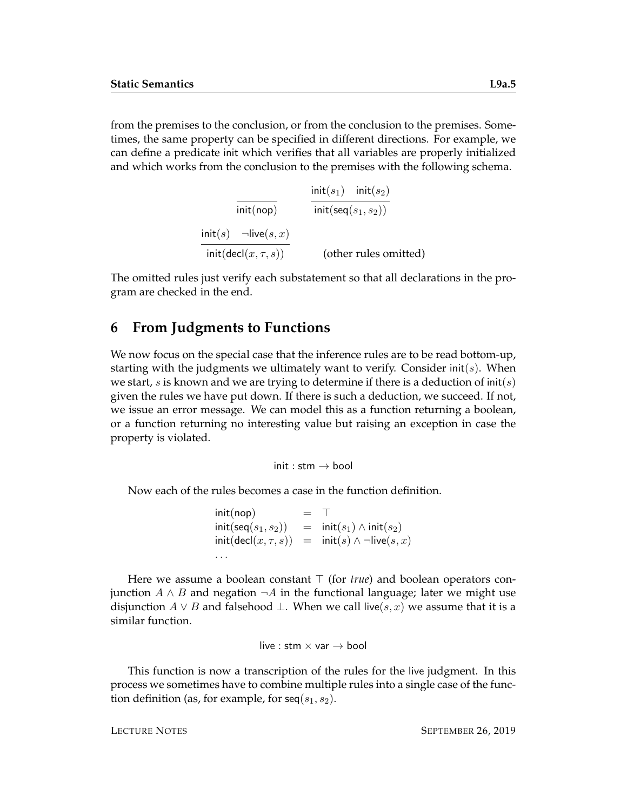from the premises to the conclusion, or from the conclusion to the premises. Sometimes, the same property can be specified in different directions. For example, we can define a predicate init which verifies that all variables are properly initialized and which works from the conclusion to the premises with the following schema.

> init(nop)  ${\sf init}(s_1)$   ${\sf init}(s_2)$  ${\sf init}({\sf seq}(s_1,s_2))$  $\mathsf{init}(s)$   $\neg \mathsf{live}(s,x)$  $\mathsf{init}(\mathsf{decl}(x,\tau,s))$  (other rules omitted)

The omitted rules just verify each substatement so that all declarations in the program are checked in the end.

#### **6 From Judgments to Functions**

We now focus on the special case that the inference rules are to be read bottom-up, starting with the judgments we ultimately want to verify. Consider  $init(s)$ . When we start, s is known and we are trying to determine if there is a deduction of  $init(s)$ given the rules we have put down. If there is such a deduction, we succeed. If not, we issue an error message. We can model this as a function returning a boolean, or a function returning no interesting value but raising an exception in case the property is violated.

init : stm  $\rightarrow$  bool

Now each of the rules becomes a case in the function definition.

```
init(nop) = \top\mathsf{init}(\mathsf{seq}(s_1,s_2)) = \mathsf{init}(s_1) \land \mathsf{init}(s_2)\mathsf{init}(\mathsf{decl}(x,\tau,s)) = \mathsf{init}(s) \land \neg \mathsf{live}(s,x). . .
```
Here we assume a boolean constant  $\top$  (for *true*) and boolean operators conjunction *A* ∧ *B* and negation  $\neg$ *A* in the functional language; later we might use disjunction  $A ∨ B$  and falsehood  $\bot$ . When we call live(s, x) we assume that it is a similar function.

live : stm  $\times$  var  $\rightarrow$  bool

This function is now a transcription of the rules for the live judgment. In this process we sometimes have to combine multiple rules into a single case of the function definition (as, for example, for  $seq(s_1, s_2)$ .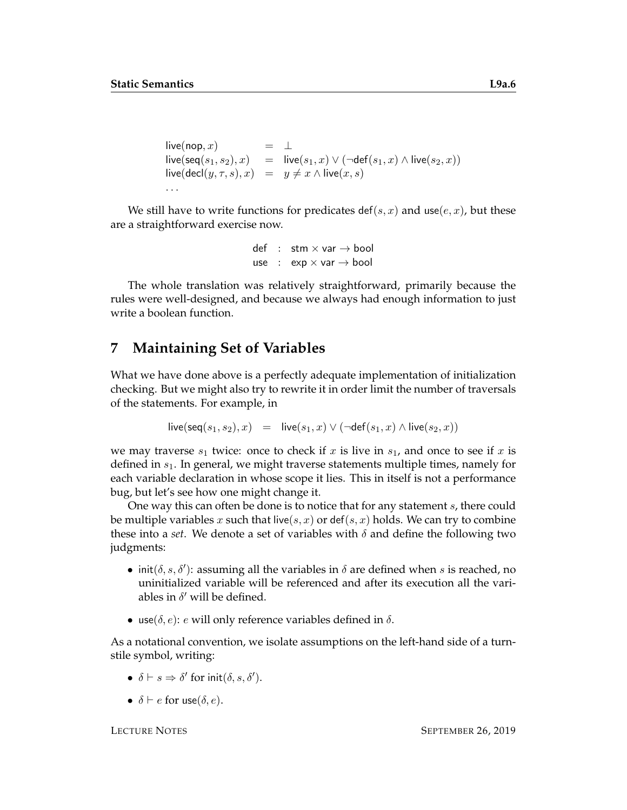```
live(nop, x) = \perp\textsf{live}(\textsf{seq}(s_1, s_2), x) = \textsf{live}(s_1, x) \vee (\neg \textsf{def}(s_1, x) \wedge \textsf{live}(s_2, x))live(det(y, \tau, s), x) = y \neq x \land live(x, s). . .
```
We still have to write functions for predicates def(s, x) and use(e, x), but these are a straightforward exercise now.

```
def : stm \times var \rightarrow bool
use : \exp x \cdot \exp \rightarrow \text{bool}
```
The whole translation was relatively straightforward, primarily because the rules were well-designed, and because we always had enough information to just write a boolean function.

#### **7 Maintaining Set of Variables**

What we have done above is a perfectly adequate implementation of initialization checking. But we might also try to rewrite it in order limit the number of traversals of the statements. For example, in

$$
\mathsf{live}(\mathsf{seq}(s_1,s_2),x) = \mathsf{live}(s_1,x) \lor (\neg \mathsf{def}(s_1,x) \land \mathsf{live}(s_2,x))
$$

we may traverse  $s_1$  twice: once to check if x is live in  $s_1$ , and once to see if x is defined in  $s<sub>1</sub>$ . In general, we might traverse statements multiple times, namely for each variable declaration in whose scope it lies. This in itself is not a performance bug, but let's see how one might change it.

One way this can often be done is to notice that for any statement s, there could be multiple variables x such that live( $s, x$ ) or def( $s, x$ ) holds. We can try to combine these into a *set*. We denote a set of variables with  $\delta$  and define the following two judgments:

- init( $\delta$ ,  $s$ ,  $\delta'$ ): assuming all the variables in  $\delta$  are defined when s is reached, no uninitialized variable will be referenced and after its execution all the variables in  $\delta'$  will be defined.
- use( $\delta$ , e): e will only reference variables defined in  $\delta$ .

As a notational convention, we isolate assumptions on the left-hand side of a turnstile symbol, writing:

- $\delta \vdash s \Rightarrow \delta'$  for  $init(\delta, s, \delta').$
- $\delta \vdash e$  for use( $\delta, e$ ).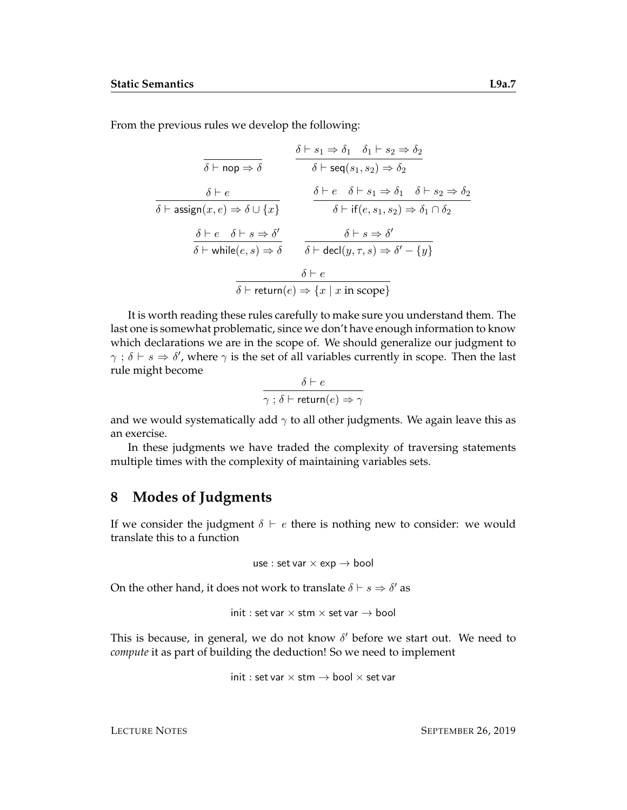From the previous rules we develop the following:

$$
\begin{array}{ccc}\n\delta \vdash \mathsf{nop} \Rightarrow \delta & \delta \vdash s_1 \Rightarrow \delta_1 & \delta_1 \vdash s_2 \Rightarrow \delta_2 \\
\hline\n\delta \vdash \mathsf{nop} \Rightarrow \delta & \delta \vdash \mathsf{seq}(s_1, s_2) \Rightarrow \delta_2 \\
\hline\n\delta \vdash \mathsf{assign}(x, e) \Rightarrow \delta \cup \{x\} & \delta \vdash e & \delta \vdash s_1 \Rightarrow \delta_1 & \delta \vdash s_2 \Rightarrow \delta_2 \\
\hline\n\delta \vdash e & \delta \vdash s \Rightarrow \delta' & \delta \vdash \mathsf{if}(e, s_1, s_2) \Rightarrow \delta_1 \cap \delta_2 \\
\hline\n\delta \vdash \mathsf{while}(e, s) \Rightarrow \delta & \delta \vdash \mathsf{decl}(y, \tau, s) \Rightarrow \delta' - \{y\} \\
\hline\n\delta \vdash \mathsf{return}(e) \Rightarrow \{x \mid x \text{ in scope}\}\n\end{array}
$$

It is worth reading these rules carefully to make sure you understand them. The last one is somewhat problematic, since we don't have enough information to know which declarations we are in the scope of. We should generalize our judgment to  $\gamma$ ;  $\delta \vdash s \Rightarrow \delta'$ , where  $\gamma$  is the set of all variables currently in scope. Then the last rule might become

$$
\frac{\delta \vdash e}{\gamma \text{ ; } \delta \vdash \text{return}(e) \Rightarrow \gamma}
$$

and we would systematically add  $\gamma$  to all other judgments. We again leave this as an exercise.

In these judgments we have traded the complexity of traversing statements multiple times with the complexity of maintaining variables sets.

### **8 Modes of Judgments**

If we consider the judgment  $\delta \vdash e$  there is nothing new to consider: we would translate this to a function

use : set var  $\times$  exp  $\rightarrow$  bool

On the other hand, it does not work to translate  $\delta \vdash s \Rightarrow \delta'$  as

$$
\mathsf{init} : \mathsf{set}\, \mathsf{var} \times \mathsf{stm} \times \mathsf{set}\, \mathsf{var} \to \mathsf{bool}
$$

This is because, in general, we do not know  $\delta'$  before we start out. We need to *compute* it as part of building the deduction! So we need to implement

$$
\mathsf{init} : \mathsf{set}\, \mathsf{var} \times \mathsf{stm} \to \mathsf{bool} \times \mathsf{set}\, \mathsf{var}
$$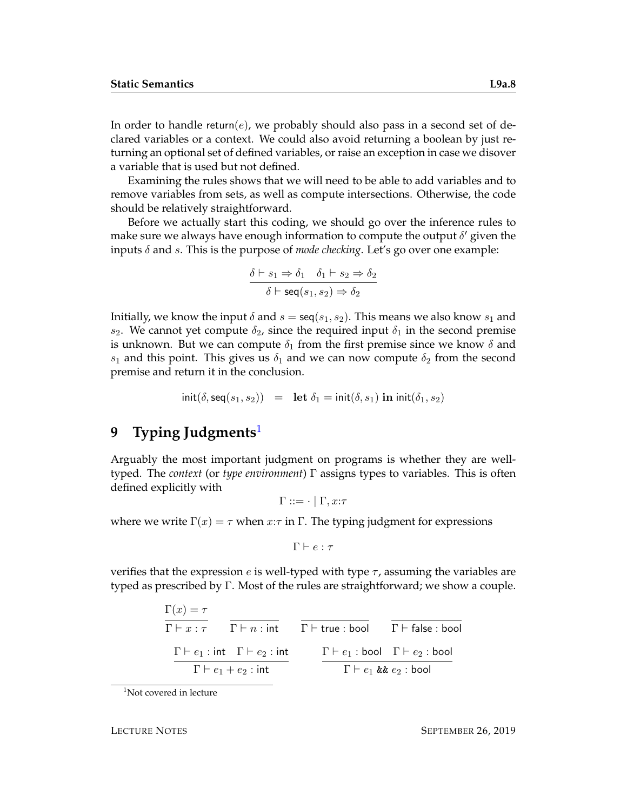In order to handle return(e), we probably should also pass in a second set of declared variables or a context. We could also avoid returning a boolean by just returning an optional set of defined variables, or raise an exception in case we disover a variable that is used but not defined.

Examining the rules shows that we will need to be able to add variables and to remove variables from sets, as well as compute intersections. Otherwise, the code should be relatively straightforward.

Before we actually start this coding, we should go over the inference rules to make sure we always have enough information to compute the output  $\delta'$  given the inputs  $\delta$  and s. This is the purpose of *mode checking*. Let's go over one example:

$$
\frac{\delta \vdash s_1 \Rightarrow \delta_1 \quad \delta_1 \vdash s_2 \Rightarrow \delta_2}{\delta \vdash \textsf{seq}(s_1, s_2) \Rightarrow \delta_2}
$$

Initially, we know the input  $\delta$  and  $s = \text{seq}(s_1, s_2)$ . This means we also know  $s_1$  and s<sub>2</sub>. We cannot yet compute  $\delta_2$ , since the required input  $\delta_1$  in the second premise is unknown. But we can compute  $\delta_1$  from the first premise since we know  $\delta$  and  $s_1$  and this point. This gives us  $\delta_1$  and we can now compute  $\delta_2$  from the second premise and return it in the conclusion.

$$
\mathsf{init}(\delta, \mathsf{seq}(s_1, s_2)) = \mathsf{let}\ \delta_1 = \mathsf{init}(\delta, s_1)\ \mathbf{in}\ \mathsf{init}(\delta_1, s_2)
$$

## <span id="page-7-0"></span>**9 Typing Judgments**[1](#page-7-1)

Arguably the most important judgment on programs is whether they are welltyped. The *context* (or *type environment*) Γ assigns types to variables. This is often defined explicitly with

 $\Gamma ::= \cdot | \Gamma, x:\tau$ 

where we write  $\Gamma(x) = \tau$  when  $x:\tau$  in  $\Gamma$ . The typing judgment for expressions

 $\Gamma \vdash e : \tau$ 

verifies that the expression e is well-typed with type  $\tau$ , assuming the variables are typed as prescribed by Γ. Most of the rules are straightforward; we show a couple.

> $\Gamma(x) = \tau$  $\overline{\Gamma \vdash x : \tau}$   $\overline{\Gamma \vdash n : \text{int}}$   $\overline{\Gamma \vdash \text{true : bool}}$   $\overline{\Gamma \vdash \text{false : bool}}$  $\Gamma \vdash e_1 : \mathsf{int} \quad \Gamma \vdash e_2 : \mathsf{int} \qquad \quad \Gamma \vdash e_1 : \mathsf{bool} \quad \Gamma \vdash e_2 : \mathsf{bool}$  $\Gamma \vdash e_1 + e_2 : \mathsf{int}$  $\overline{\Gamma \vdash e_1 \text{ kk} e_2 :}$  bool

<span id="page-7-1"></span> $1$ Not covered in lecture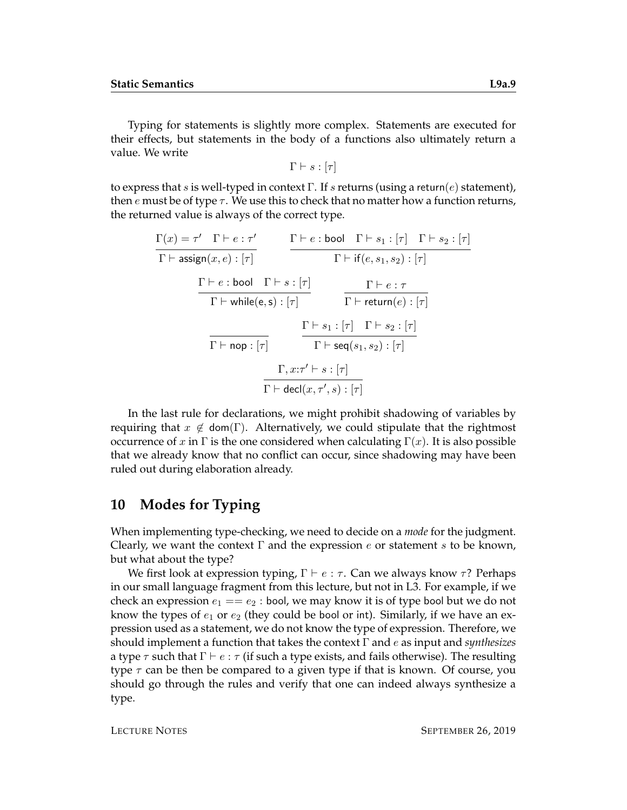Typing for statements is slightly more complex. Statements are executed for their effects, but statements in the body of a functions also ultimately return a value. We write

 $\Gamma \vdash s : [\tau]$ 

to express that s is well-typed in context  $\Gamma$ . If s returns (using a return(e) statement), then e must be of type  $\tau$ . We use this to check that no matter how a function returns, the returned value is always of the correct type.

$$
\frac{\Gamma(x) = \tau' \quad \Gamma \vdash e : \tau'}{\Gamma \vdash \text{assign}(x, e) : [\tau]} \qquad \frac{\Gamma \vdash e : \text{bool} \quad \Gamma \vdash s_1 : [\tau] \quad \Gamma \vdash s_2 : [\tau]}{\Gamma \vdash \text{if}(e, s_1, s_2) : [\tau]}
$$
\n
$$
\frac{\Gamma \vdash e : \text{bool} \quad \Gamma \vdash s : [\tau]}{\Gamma \vdash \text{while}(e, s) : [\tau]} \qquad \frac{\Gamma \vdash e : \tau}{\Gamma \vdash \text{return}(e) : [\tau]}
$$
\n
$$
\frac{\Gamma \vdash s_1 : [\tau] \quad \Gamma \vdash s_2 : [\tau]}{\Gamma \vdash \text{seq}(s_1, s_2) : [\tau]}
$$
\n
$$
\frac{\Gamma, x : \tau' \vdash s : [\tau]}{\Gamma \vdash \text{decl}(x, \tau', s) : [\tau]}
$$

In the last rule for declarations, we might prohibit shadowing of variables by requiring that  $x \notin \text{dom}(\Gamma)$ . Alternatively, we could stipulate that the rightmost occurrence of x in  $\Gamma$  is the one considered when calculating  $\Gamma(x)$ . It is also possible that we already know that no conflict can occur, since shadowing may have been ruled out during elaboration already.

#### **10 Modes for Typing**

When implementing type-checking, we need to decide on a *mode* for the judgment. Clearly, we want the context  $\Gamma$  and the expression e or statement s to be known, but what about the type?

We first look at expression typing,  $\Gamma \vdash e : \tau$ . Can we always know  $\tau$ ? Perhaps in our small language fragment from this lecture, but not in L3. For example, if we check an expression  $e_1 == e_2 :$  bool, we may know it is of type bool but we do not know the types of  $e_1$  or  $e_2$  (they could be bool or int). Similarly, if we have an expression used as a statement, we do not know the type of expression. Therefore, we should implement a function that takes the context Γ and e as input and *synthesizes* a type  $\tau$  such that  $\Gamma \vdash e : \tau$  (if such a type exists, and fails otherwise). The resulting type  $\tau$  can be then be compared to a given type if that is known. Of course, you should go through the rules and verify that one can indeed always synthesize a type.